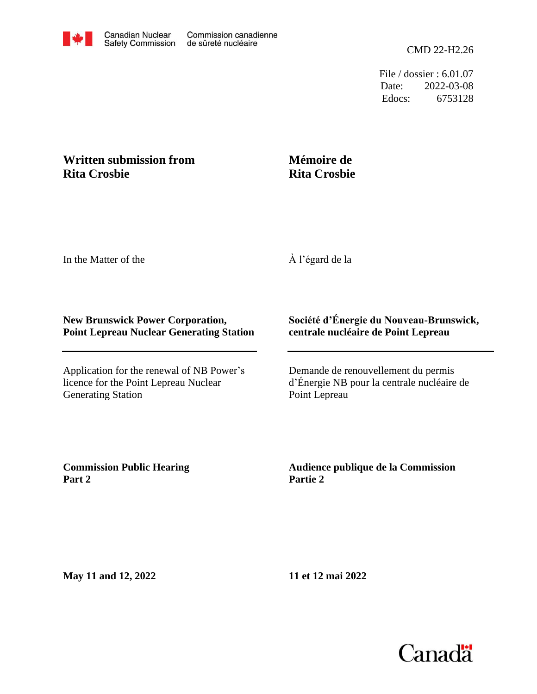File / dossier : 6.01.07 Date: 2022-03-08 Edocs: 6753128

# **Written submission from Rita Crosbie**

# **Mémoire de Rita Crosbie**

In the Matter of the

À l'égard de la

# **New Brunswick Power Corporation, Point Lepreau Nuclear Generating Station**

Application for the renewal of NB Power's licence for the Point Lepreau Nuclear Generating Station

# **Société d'Énergie du Nouveau-Brunswick, centrale nucléaire de Point Lepreau**

Demande de renouvellement du permis d'Énergie NB pour la centrale nucléaire de Point Lepreau

**Commission Public Hearing Part 2**

**Audience publique de la Commission Partie 2**

**May 11 and 12, 2022**

**11 et 12 mai 2022**

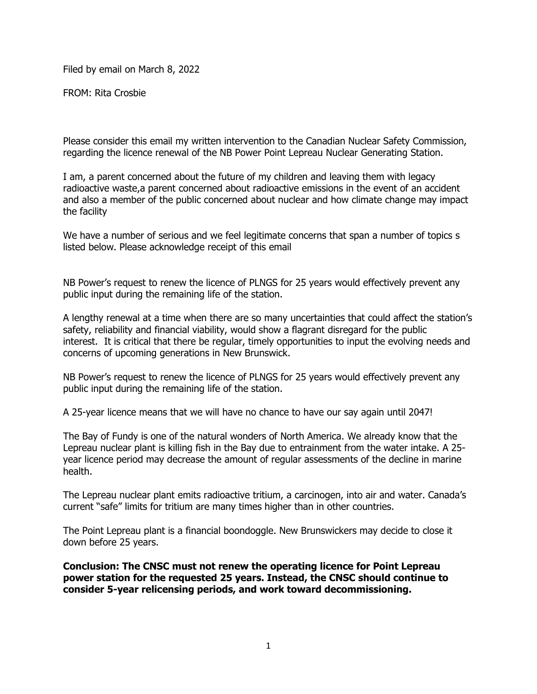Filed by email on March 8, 2022

FROM: Rita Crosbie

Please consider this email my written intervention to the Canadian Nuclear Safety Commission, regarding the licence renewal of the NB Power Point Lepreau Nuclear Generating Station.

I am, a parent concerned about the future of my children and leaving them with legacy radioactive waste,a parent concerned about radioactive emissions in the event of an accident and also a member of the public concerned about nuclear and how climate change may impact the facility

We have a number of serious and we feel legitimate concerns that span a number of topics s listed below. Please acknowledge receipt of this email

NB Power's request to renew the licence of PLNGS for 25 years would effectively prevent any public input during the remaining life of the station.

A lengthy renewal at a time when there are so many uncertainties that could affect the station's safety, reliability and financial viability, would show a flagrant disregard for the public interest. It is critical that there be regular, timely opportunities to input the evolving needs and concerns of upcoming generations in New Brunswick.

NB Power's request to renew the licence of PLNGS for 25 years would effectively prevent any public input during the remaining life of the station.

A 25-year licence means that we will have no chance to have our say again until 2047!

The Bay of Fundy is one of the natural wonders of North America. We already know that the Lepreau nuclear plant is killing fish in the Bay due to entrainment from the water intake. A 25 year licence period may decrease the amount of regular assessments of the decline in marine health.

The Lepreau nuclear plant emits radioactive tritium, a carcinogen, into air and water. Canada's current "safe" limits for tritium are many times higher than in other countries.

The Point Lepreau plant is a financial boondoggle. New Brunswickers may decide to close it down before 25 years.

**Conclusion: The CNSC must not renew the operating licence for Point Lepreau power station for the requested 25 years. Instead, the CNSC should continue to consider 5-year relicensing periods, and work toward decommissioning.**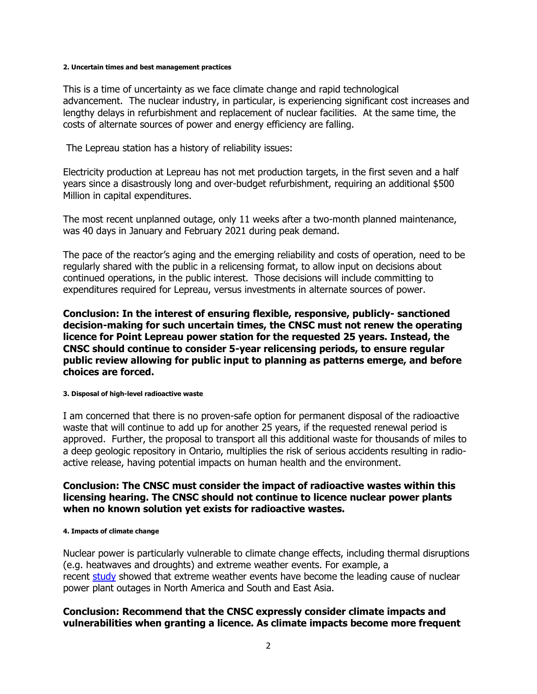#### **2. Uncertain times and best management practices**

This is a time of uncertainty as we face climate change and rapid technological advancement. The nuclear industry, in particular, is experiencing significant cost increases and lengthy delays in refurbishment and replacement of nuclear facilities. At the same time, the costs of alternate sources of power and energy efficiency are falling.

The Lepreau station has a history of reliability issues:

Electricity production at Lepreau has not met production targets, in the first seven and a half years since a disastrously long and over-budget refurbishment, requiring an additional \$500 Million in capital expenditures.

The most recent unplanned outage, only 11 weeks after a two-month planned maintenance, was 40 days in January and February 2021 during peak demand.

The pace of the reactor's aging and the emerging reliability and costs of operation, need to be regularly shared with the public in a relicensing format, to allow input on decisions about continued operations, in the public interest. Those decisions will include committing to expenditures required for Lepreau, versus investments in alternate sources of power.

**Conclusion: In the interest of ensuring flexible, responsive, publicly- sanctioned decision-making for such uncertain times, the CNSC must not renew the operating licence for Point Lepreau power station for the requested 25 years. Instead, the CNSC should continue to consider 5-year relicensing periods, to ensure regular public review allowing for public input to planning as patterns emerge, and before choices are forced.**

#### **3. Disposal of high-level radioactive waste**

I am concerned that there is no proven-safe option for permanent disposal of the radioactive waste that will continue to add up for another 25 years, if the requested renewal period is approved. Further, the proposal to transport all this additional waste for thousands of miles to a deep geologic repository in Ontario, multiplies the risk of serious accidents resulting in radioactive release, having potential impacts on human health and the environment.

## **Conclusion: The CNSC must consider the impact of radioactive wastes within this licensing hearing. The CNSC should not continue to licence nuclear power plants when no known solution yet exists for radioactive wastes.**

#### **4. Impacts of climate change**

Nuclear power is particularly vulnerable to climate change effects, including thermal disruptions (e.g. heatwaves and droughts) and extreme weather events. For example, a recent [study](https://www.nature.com/articles/s41560-021-00849-y) showed that extreme weather events have become the leading cause of nuclear power plant outages in North America and South and East Asia.

## **Conclusion: Recommend that the CNSC expressly consider climate impacts and vulnerabilities when granting a licence. As climate impacts become more frequent**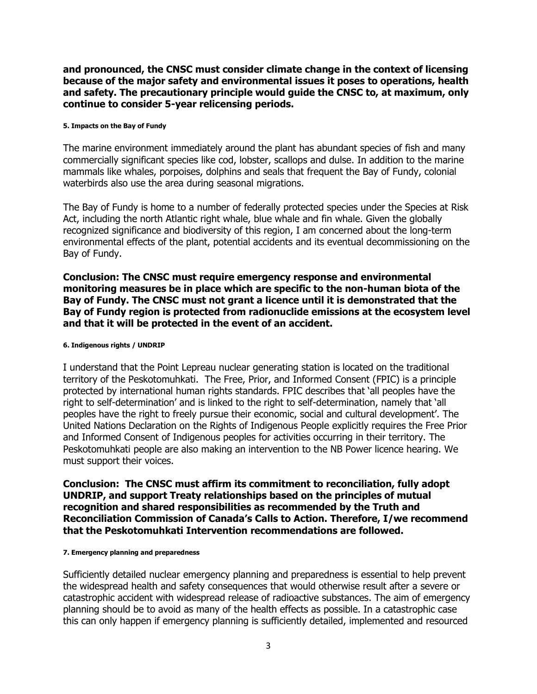**and pronounced, the CNSC must consider climate change in the context of licensing because of the major safety and environmental issues it poses to operations, health and safety. The precautionary principle would guide the CNSC to, at maximum, only continue to consider 5-year relicensing periods.**

### **5. Impacts on the Bay of Fundy**

The marine environment immediately around the plant has abundant species of fish and many commercially significant species like cod, lobster, scallops and dulse. In addition to the marine mammals like whales, porpoises, dolphins and seals that frequent the Bay of Fundy, colonial waterbirds also use the area during seasonal migrations.

The Bay of Fundy is home to a number of federally protected species under the Species at Risk Act, including the north Atlantic right whale, blue whale and fin whale. Given the globally recognized significance and biodiversity of this region, I am concerned about the long-term environmental effects of the plant, potential accidents and its eventual decommissioning on the Bay of Fundy.

**Conclusion: The CNSC must require emergency response and environmental monitoring measures be in place which are specific to the non-human biota of the Bay of Fundy. The CNSC must not grant a licence until it is demonstrated that the Bay of Fundy region is protected from radionuclide emissions at the ecosystem level and that it will be protected in the event of an accident.**

### **6. Indigenous rights / UNDRIP**

I understand that the Point Lepreau nuclear generating station is located on the traditional territory of the Peskotomuhkati. The Free, Prior, and Informed Consent (FPIC) is a principle protected by international human rights standards. FPIC describes that 'all peoples have the right to self-determination' and is linked to the right to self-determination, namely that 'all peoples have the right to freely pursue their economic, social and cultural development'. The United Nations Declaration on the Rights of Indigenous People explicitly requires the Free Prior and Informed Consent of Indigenous peoples for activities occurring in their territory. The Peskotomuhkati people are also making an intervention to the NB Power licence hearing. We must support their voices.

**Conclusion: The CNSC must affirm its commitment to reconciliation, fully adopt UNDRIP, and support Treaty relationships based on the principles of mutual recognition and shared responsibilities as recommended by the Truth and Reconciliation Commission of Canada's Calls to Action. Therefore, I/we recommend that the Peskotomuhkati Intervention recommendations are followed.**

### **7. Emergency planning and preparedness**

Sufficiently detailed nuclear emergency planning and preparedness is essential to help prevent the widespread health and safety consequences that would otherwise result after a severe or catastrophic accident with widespread release of radioactive substances. The aim of emergency planning should be to avoid as many of the health effects as possible. In a catastrophic case this can only happen if emergency planning is sufficiently detailed, implemented and resourced